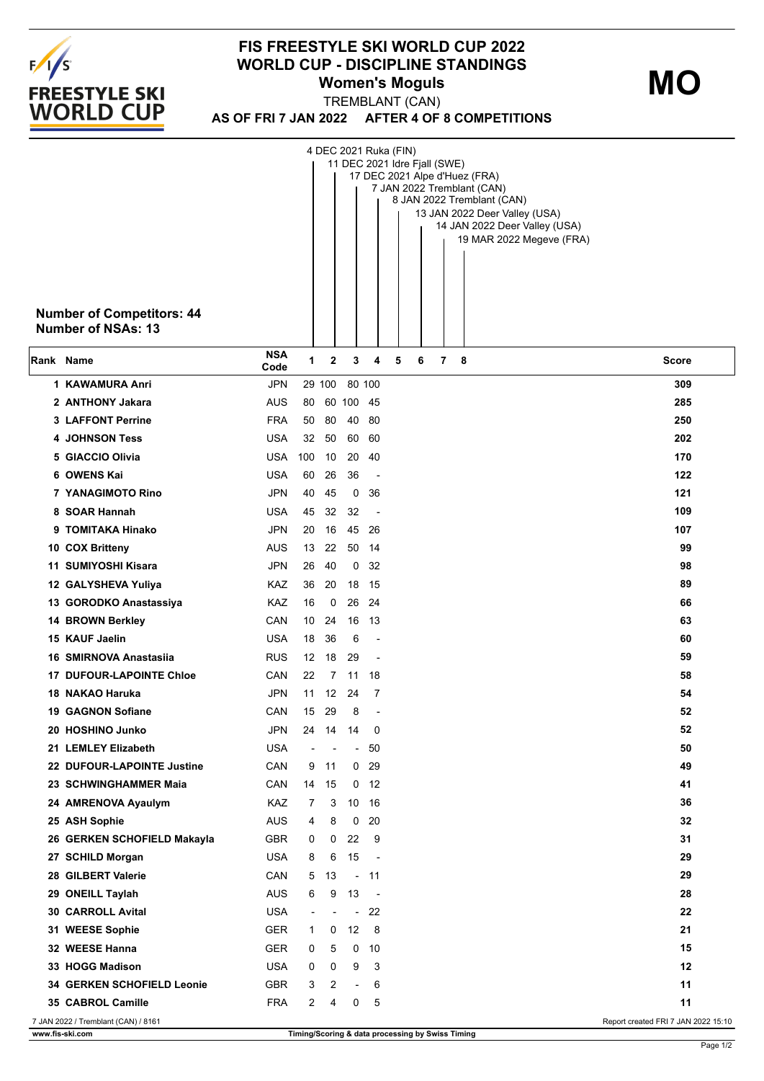

## **FIS FREESTYLE SKI WORLD CUP 2022 WORLD CUP - DISCIPLINE STANDINGS Women's Moguls**

**MO**

**AS OF FRI 7 JAN 2022 AFTER 4 OF 8 COMPETITIONS** TREMBLANT (CAN)

|           | <b>Number of Competitors: 44</b>    |            |                          |        |                          |                          | 4 DEC 2021 Ruka (FIN)<br>11 DEC 2021 Idre Fjall (SWE)<br>17 DEC 2021 Alpe d'Huez (FRA)<br>7 JAN 2022 Tremblant (CAN)<br>8 JAN 2022 Tremblant (CAN)<br>13 JAN 2022 Deer Valley (USA)<br>14 JAN 2022 Deer Valley (USA)<br>19 MAR 2022 Megeve (FRA) |     |
|-----------|-------------------------------------|------------|--------------------------|--------|--------------------------|--------------------------|--------------------------------------------------------------------------------------------------------------------------------------------------------------------------------------------------------------------------------------------------|-----|
|           | <b>Number of NSAs: 13</b>           | <b>NSA</b> |                          |        |                          |                          |                                                                                                                                                                                                                                                  |     |
| Rank Name |                                     | Code       | 1                        | 2      | 3                        | 4                        | 7<br>5<br>6<br>- 8<br><b>Score</b>                                                                                                                                                                                                               |     |
|           | 1 KAWAMURA Anri                     | <b>JPN</b> |                          | 29 100 |                          | 80 100                   |                                                                                                                                                                                                                                                  | 309 |
|           | 2 ANTHONY Jakara                    | AUS        | 80                       | 60     | 100 45                   |                          |                                                                                                                                                                                                                                                  | 285 |
|           | <b>3 LAFFONT Perrine</b>            | <b>FRA</b> | 50                       | 80     | 40                       | -80                      |                                                                                                                                                                                                                                                  | 250 |
|           | <b>4 JOHNSON Tess</b>               | <b>USA</b> | 32                       | 50     |                          | 60 60                    |                                                                                                                                                                                                                                                  | 202 |
|           | 5 GIACCIO Olivia                    | USA        | 100                      | 10     |                          | 20 40                    |                                                                                                                                                                                                                                                  | 170 |
|           | 6 OWENS Kai                         | <b>USA</b> | 60                       | 26     | 36                       | $\overline{\phantom{a}}$ |                                                                                                                                                                                                                                                  | 122 |
|           | 7 YANAGIMOTO Rino                   | <b>JPN</b> | 40                       | 45     | $\mathbf{0}$             | 36                       |                                                                                                                                                                                                                                                  | 121 |
|           | 8 SOAR Hannah                       | <b>USA</b> | 45                       | 32     | 32                       | $\overline{\phantom{a}}$ |                                                                                                                                                                                                                                                  | 109 |
|           | 9 TOMITAKA Hinako                   | <b>JPN</b> | 20                       | 16     |                          | 45 26                    |                                                                                                                                                                                                                                                  | 107 |
|           | 10 COX Britteny                     | AUS        | 13                       | 22     |                          | 50 14                    |                                                                                                                                                                                                                                                  | 99  |
|           | 11 SUMIYOSHI Kisara                 | <b>JPN</b> | 26                       | 40     | 0                        | 32                       |                                                                                                                                                                                                                                                  | 98  |
|           | 12 GALYSHEVA Yuliya                 | KAZ        | 36                       | 20     |                          | 18 15                    |                                                                                                                                                                                                                                                  | 89  |
|           | 13 GORODKO Anastassiya              | KAZ        | 16                       | 0      |                          | 26 24                    |                                                                                                                                                                                                                                                  | 66  |
|           | <b>14 BROWN Berkley</b>             | CAN        | 10                       | 24     |                          | 16 13                    |                                                                                                                                                                                                                                                  | 63  |
|           | 15 KAUF Jaelin                      | <b>USA</b> | 18                       | 36     | 6                        | $\overline{\phantom{a}}$ |                                                                                                                                                                                                                                                  | 60  |
|           | 16 SMIRNOVA Anastasija              | <b>RUS</b> | 12                       | 18     | 29                       | $\overline{\phantom{a}}$ |                                                                                                                                                                                                                                                  | 59  |
|           | <b>17 DUFOUR-LAPOINTE Chloe</b>     | CAN        | 22                       | 7      |                          | 11 18                    |                                                                                                                                                                                                                                                  | 58  |
|           | 18 NAKAO Haruka                     | <b>JPN</b> | 11                       | 12     | 24                       | 7                        |                                                                                                                                                                                                                                                  | 54  |
|           | 19 GAGNON Sofiane                   | CAN        | 15                       | 29     | 8                        | $\blacksquare$           |                                                                                                                                                                                                                                                  | 52  |
|           | 20 HOSHINO Junko                    | <b>JPN</b> | 24                       | - 14   | 14                       | 0                        |                                                                                                                                                                                                                                                  | 52  |
|           | 21 LEMLEY Elizabeth                 | <b>USA</b> | $\overline{\phantom{a}}$ |        | $\overline{\phantom{a}}$ | 50                       |                                                                                                                                                                                                                                                  | 50  |
|           | 22 DUFOUR-LAPOINTE Justine          | CAN        | 9                        | 11     | $\mathbf{0}$             | 29                       |                                                                                                                                                                                                                                                  | 49  |
|           | 23 SCHWINGHAMMER Maia               | CAN        |                          | 14 15  |                          | 0 <sub>12</sub>          |                                                                                                                                                                                                                                                  | 41  |
|           | 24 AMRENOVA Ayaulym                 | KAZ        | 7                        | 3      |                          | 10 16                    |                                                                                                                                                                                                                                                  | 36  |
|           | 25 ASH Sophie                       | <b>AUS</b> | 4                        | 8      | 0                        | 20                       |                                                                                                                                                                                                                                                  | 32  |
|           | 26 GERKEN SCHOFIELD Makayla         | <b>GBR</b> | 0                        | 0      | 22                       | 9                        |                                                                                                                                                                                                                                                  | 31  |
|           | 27 SCHILD Morgan                    | <b>USA</b> | 8                        | 6      | 15                       | $\overline{\phantom{a}}$ |                                                                                                                                                                                                                                                  | 29  |
|           | 28 GILBERT Valerie                  | CAN        | 5                        | 13     |                          | $-11$                    |                                                                                                                                                                                                                                                  | 29  |
|           | 29 ONEILL Taylah                    | <b>AUS</b> | 6                        | 9      | 13                       | $\sim$                   |                                                                                                                                                                                                                                                  | 28  |
|           | 30 CARROLL Avital                   | <b>USA</b> | $\overline{\phantom{a}}$ |        | $\overline{\phantom{a}}$ | 22                       |                                                                                                                                                                                                                                                  | 22  |
|           | 31 WEESE Sophie                     | <b>GER</b> | 1                        | 0      | 12                       | 8                        |                                                                                                                                                                                                                                                  | 21  |
|           | 32 WEESE Hanna                      | <b>GER</b> | 0                        | 5      | 0                        | 10                       |                                                                                                                                                                                                                                                  | 15  |
|           | 33 HOGG Madison                     | USA        | 0                        | 0      | 9                        | 3                        |                                                                                                                                                                                                                                                  | 12  |
|           | 34 GERKEN SCHOFIELD Leonie          | <b>GBR</b> | 3                        | 2      | $\overline{\phantom{a}}$ | 6                        |                                                                                                                                                                                                                                                  | 11  |
|           | 35 CABROL Camille                   | <b>FRA</b> | 2                        | 4      | 0                        | 5                        |                                                                                                                                                                                                                                                  | 11  |
|           | 7 JAN 2022 / Tremblant (CAN) / 8161 |            |                          |        |                          |                          | Report created FRI 7 JAN 2022 15:10                                                                                                                                                                                                              |     |